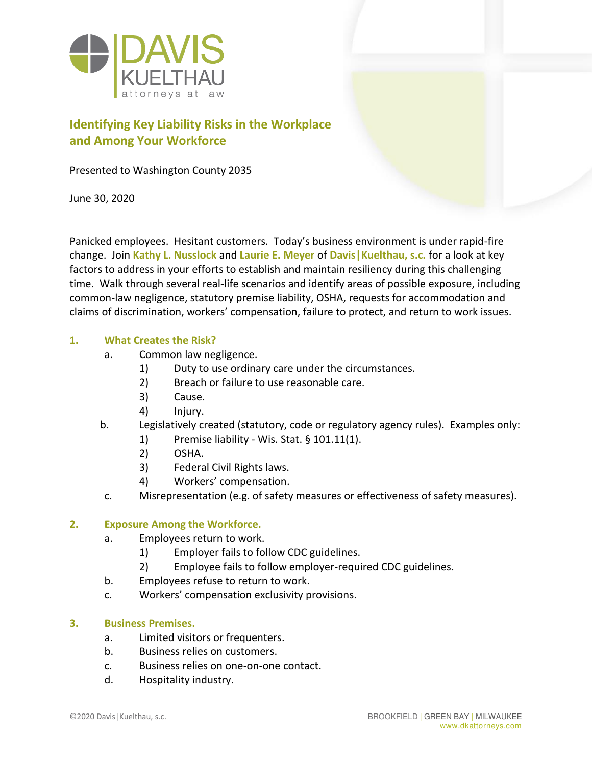

## **Identifying Key Liability Risks in the Workplace and Among Your Workforce**

Presented to Washington County 2035

June 30, 2020

Panicked employees. Hesitant customers. Today's business environment is under rapid-fire change. Join **Kathy L. Nusslock** and **Laurie E. Meyer** of **Davis|Kuelthau, s.c.** for a look at key factors to address in your efforts to establish and maintain resiliency during this challenging time. Walk through several real-life scenarios and identify areas of possible exposure, including common-law negligence, statutory premise liability, OSHA, requests for accommodation and claims of discrimination, workers' compensation, failure to protect, and return to work issues.

#### **1. What Creates the Risk?**

- a. Common law negligence.
	- 1) Duty to use ordinary care under the circumstances.
	- 2) Breach or failure to use reasonable care.
	- 3) Cause.
	- 4) Injury.
- b. Legislatively created (statutory, code or regulatory agency rules). Examples only:
	- 1) Premise liability Wis. Stat. § 101.11(1).
	- 2) OSHA.
	- 3) Federal Civil Rights laws.
	- 4) Workers' compensation.
	- c. Misrepresentation (e.g. of safety measures or effectiveness of safety measures).

#### **2. Exposure Among the Workforce.**

- a. Employees return to work.
	- 1) Employer fails to follow CDC guidelines.
	- 2) Employee fails to follow employer-required CDC guidelines.
- b. Employees refuse to return to work.
- c. Workers' compensation exclusivity provisions.

#### **3. Business Premises.**

- a. Limited visitors or frequenters.
- b. Business relies on customers.
- c. Business relies on one-on-one contact.
- d. Hospitality industry.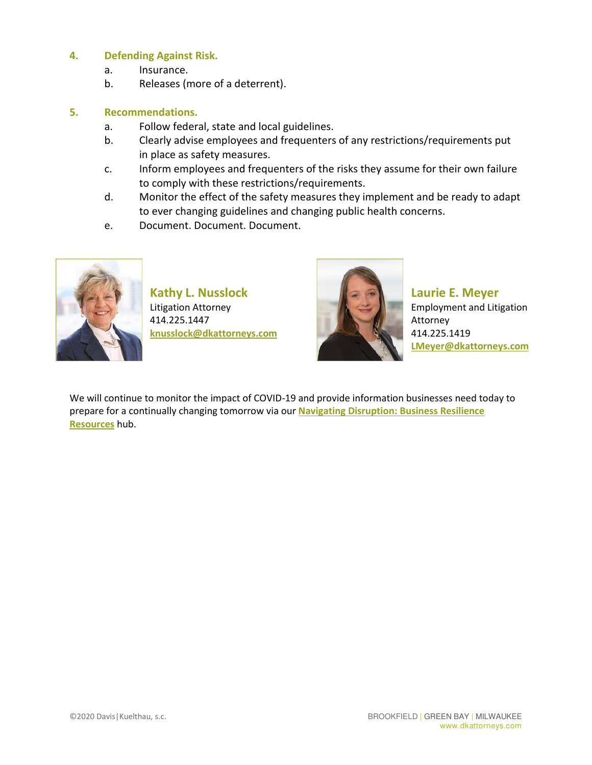#### **4. Defending Against Risk.**

- a. Insurance.
- b. Releases (more of a deterrent).

#### **5. Recommendations.**

- a. Follow federal, state and local guidelines.
- b. Clearly advise employees and frequenters of any restrictions/requirements put in place as safety measures.
- c. Inform employees and frequenters of the risks they assume for their own failure to comply with these restrictions/requirements.
- d. Monitor the effect of the safety measures they implement and be ready to adapt to ever changing guidelines and changing public health concerns.
- e. Document. Document. Document.



**Kathy L. Nusslock** Litigation Attorney 414.225.1447 **knusslock@dkattorneys.com**



**Laurie E. Meyer** Employment and Litigation Attorney 414.225.1419 **LMeyer@dkattorneys.com**

We will continue to monitor the impact of COVID-19 and provide information businesses need today to prepare for a continually changing tomorrow via our **Navigating Disruption: Business Resilience Resources** hub.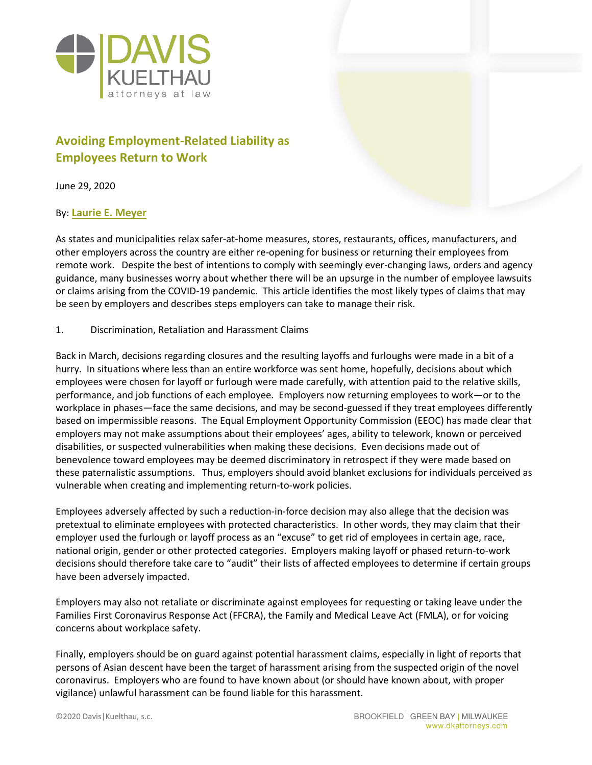

## **Avoiding Employment-Related Liability as Employees Return to Work**

June 29, 2020

#### By: **Laurie E. Meyer**

As states and municipalities relax safer-at-home measures, stores, restaurants, offices, manufacturers, and other employers across the country are either re-opening for business or returning their employees from remote work. Despite the best of intentions to comply with seemingly ever-changing laws, orders and agency guidance, many businesses worry about whether there will be an upsurge in the number of employee lawsuits or claims arising from the COVID-19 pandemic. This article identifies the most likely types of claims that may be seen by employers and describes steps employers can take to manage their risk.

#### 1. Discrimination, Retaliation and Harassment Claims

Back in March, decisions regarding closures and the resulting layoffs and furloughs were made in a bit of a hurry. In situations where less than an entire workforce was sent home, hopefully, decisions about which employees were chosen for layoff or furlough were made carefully, with attention paid to the relative skills, performance, and job functions of each employee. Employers now returning employees to work—or to the workplace in phases—face the same decisions, and may be second-guessed if they treat employees differently based on impermissible reasons. The Equal Employment Opportunity Commission (EEOC) has made clear that employers may not make assumptions about their employees' ages, ability to telework, known or perceived disabilities, or suspected vulnerabilities when making these decisions. Even decisions made out of benevolence toward employees may be deemed discriminatory in retrospect if they were made based on these paternalistic assumptions. Thus, employers should avoid blanket exclusions for individuals perceived as vulnerable when creating and implementing return-to-work policies.

Employees adversely affected by such a reduction-in-force decision may also allege that the decision was pretextual to eliminate employees with protected characteristics. In other words, they may claim that their employer used the furlough or layoff process as an "excuse" to get rid of employees in certain age, race, national origin, gender or other protected categories. Employers making layoff or phased return-to-work decisions should therefore take care to "audit" their lists of affected employees to determine if certain groups have been adversely impacted.

Employers may also not retaliate or discriminate against employees for requesting or taking leave under the Families First Coronavirus Response Act (FFCRA), the Family and Medical Leave Act (FMLA), or for voicing concerns about workplace safety.

Finally, employers should be on guard against potential harassment claims, especially in light of reports that persons of Asian descent have been the target of harassment arising from the suspected origin of the novel coronavirus. Employers who are found to have known about (or should have known about, with proper vigilance) unlawful harassment can be found liable for this harassment.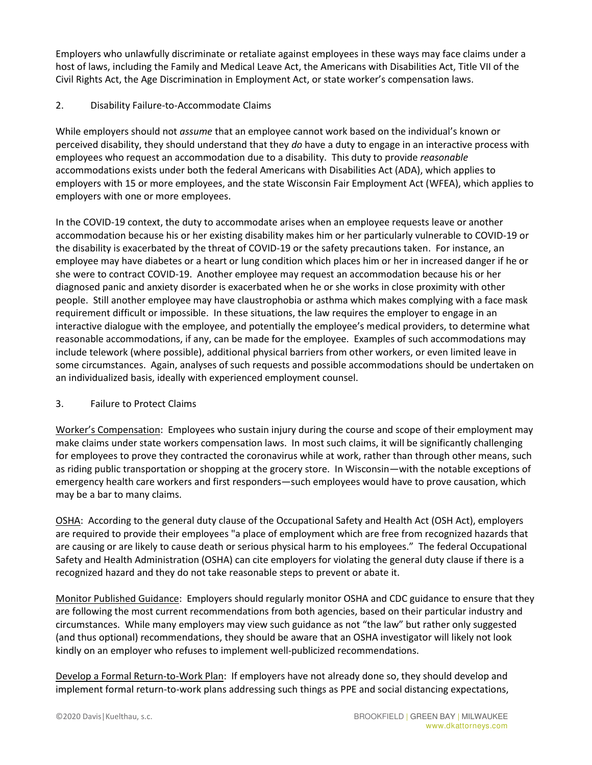Employers who unlawfully discriminate or retaliate against employees in these ways may face claims under a host of laws, including the Family and Medical Leave Act, the Americans with Disabilities Act, Title VII of the Civil Rights Act, the Age Discrimination in Employment Act, or state worker's compensation laws.

#### 2. Disability Failure-to-Accommodate Claims

While employers should not *assume* that an employee cannot work based on the individual's known or perceived disability, they should understand that they *do* have a duty to engage in an interactive process with employees who request an accommodation due to a disability. This duty to provide *reasonable* accommodations exists under both the federal Americans with Disabilities Act (ADA), which applies to employers with 15 or more employees, and the state Wisconsin Fair Employment Act (WFEA), which applies to employers with one or more employees.

In the COVID-19 context, the duty to accommodate arises when an employee requests leave or another accommodation because his or her existing disability makes him or her particularly vulnerable to COVID-19 or the disability is exacerbated by the threat of COVID-19 or the safety precautions taken. For instance, an employee may have diabetes or a heart or lung condition which places him or her in increased danger if he or she were to contract COVID-19. Another employee may request an accommodation because his or her diagnosed panic and anxiety disorder is exacerbated when he or she works in close proximity with other people. Still another employee may have claustrophobia or asthma which makes complying with a face mask requirement difficult or impossible. In these situations, the law requires the employer to engage in an interactive dialogue with the employee, and potentially the employee's medical providers, to determine what reasonable accommodations, if any, can be made for the employee. Examples of such accommodations may include telework (where possible), additional physical barriers from other workers, or even limited leave in some circumstances. Again, analyses of such requests and possible accommodations should be undertaken on an individualized basis, ideally with experienced employment counsel.

#### 3. Failure to Protect Claims

Worker's Compensation: Employees who sustain injury during the course and scope of their employment may make claims under state workers compensation laws. In most such claims, it will be significantly challenging for employees to prove they contracted the coronavirus while at work, rather than through other means, such as riding public transportation or shopping at the grocery store. In Wisconsin—with the notable exceptions of emergency health care workers and first responders—such employees would have to prove causation, which may be a bar to many claims.

OSHA: According to the general duty clause of the Occupational Safety and Health Act (OSH Act), employers are required to provide their employees "a place of employment which are free from recognized hazards that are causing or are likely to cause death or serious physical harm to his employees." The federal Occupational Safety and Health Administration (OSHA) can cite employers for violating the general duty clause if there is a recognized hazard and they do not take reasonable steps to prevent or abate it.

Monitor Published Guidance: Employers should regularly monitor OSHA and CDC guidance to ensure that they are following the most current recommendations from both agencies, based on their particular industry and circumstances. While many employers may view such guidance as not "the law" but rather only suggested (and thus optional) recommendations, they should be aware that an OSHA investigator will likely not look kindly on an employer who refuses to implement well-publicized recommendations.

Develop a Formal Return-to-Work Plan: If employers have not already done so, they should develop and implement formal return-to-work plans addressing such things as PPE and social distancing expectations,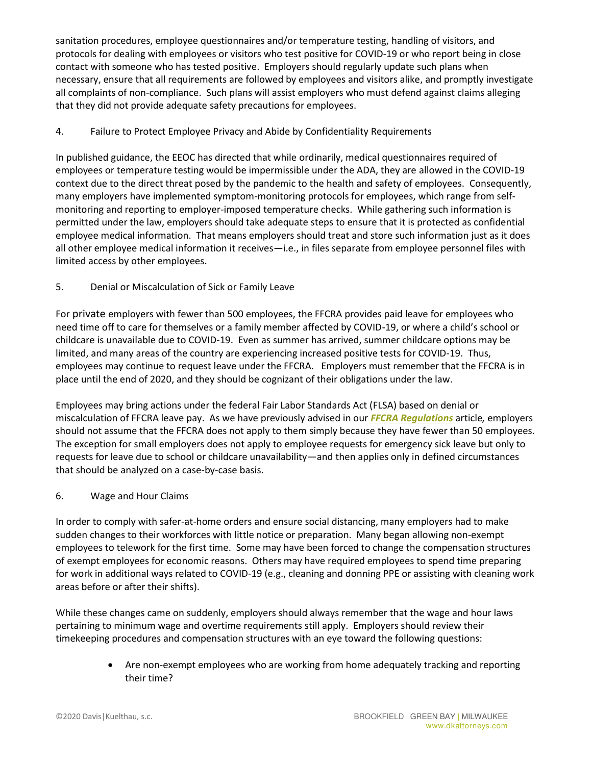sanitation procedures, employee questionnaires and/or temperature testing, handling of visitors, and protocols for dealing with employees or visitors who test positive for COVID-19 or who report being in close contact with someone who has tested positive. Employers should regularly update such plans when necessary, ensure that all requirements are followed by employees and visitors alike, and promptly investigate all complaints of non-compliance. Such plans will assist employers who must defend against claims alleging that they did not provide adequate safety precautions for employees.

4. Failure to Protect Employee Privacy and Abide by Confidentiality Requirements

In published guidance, the EEOC has directed that while ordinarily, medical questionnaires required of employees or temperature testing would be impermissible under the ADA, they are allowed in the COVID-19 context due to the direct threat posed by the pandemic to the health and safety of employees. Consequently, many employers have implemented symptom-monitoring protocols for employees, which range from selfmonitoring and reporting to employer-imposed temperature checks. While gathering such information is permitted under the law, employers should take adequate steps to ensure that it is protected as confidential employee medical information. That means employers should treat and store such information just as it does all other employee medical information it receives—i.e., in files separate from employee personnel files with limited access by other employees.

5. Denial or Miscalculation of Sick or Family Leave

For private employers with fewer than 500 employees, the FFCRA provides paid leave for employees who need time off to care for themselves or a family member affected by COVID-19, or where a child's school or childcare is unavailable due to COVID-19. Even as summer has arrived, summer childcare options may be limited, and many areas of the country are experiencing increased positive tests for COVID-19. Thus, employees may continue to request leave under the FFCRA. Employers must remember that the FFCRA is in place until the end of 2020, and they should be cognizant of their obligations under the law.

Employees may bring actions under the federal Fair Labor Standards Act (FLSA) based on denial or miscalculation of FFCRA leave pay. As we have previously advised in our *FFCRA Regulations* article*,* employers should not assume that the FFCRA does not apply to them simply because they have fewer than 50 employees. The exception for small employers does not apply to employee requests for emergency sick leave but only to requests for leave due to school or childcare unavailability—and then applies only in defined circumstances that should be analyzed on a case-by-case basis.

6. Wage and Hour Claims

In order to comply with safer-at-home orders and ensure social distancing, many employers had to make sudden changes to their workforces with little notice or preparation. Many began allowing non-exempt employees to telework for the first time. Some may have been forced to change the compensation structures of exempt employees for economic reasons. Others may have required employees to spend time preparing for work in additional ways related to COVID-19 (e.g., cleaning and donning PPE or assisting with cleaning work areas before or after their shifts).

While these changes came on suddenly, employers should always remember that the wage and hour laws pertaining to minimum wage and overtime requirements still apply. Employers should review their timekeeping procedures and compensation structures with an eye toward the following questions:

> Are non-exempt employees who are working from home adequately tracking and reporting their time?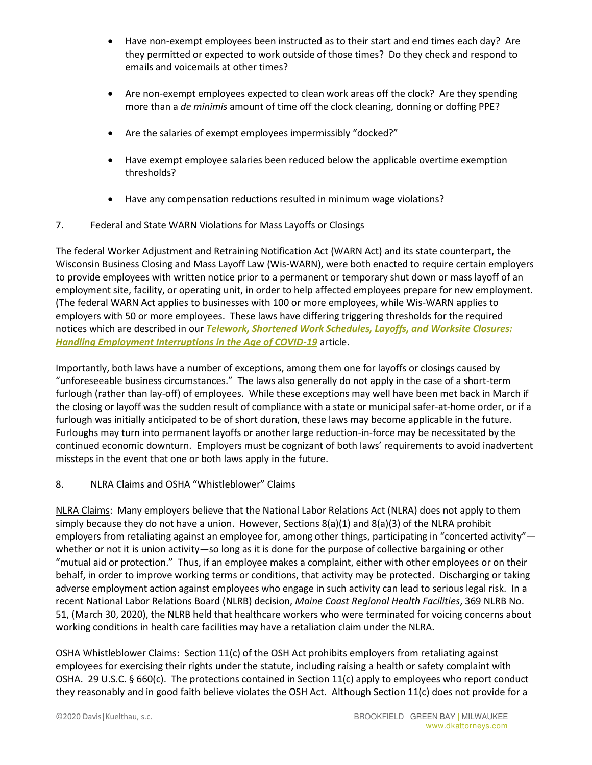- Have non-exempt employees been instructed as to their start and end times each day? Are they permitted or expected to work outside of those times? Do they check and respond to emails and voicemails at other times?
- Are non-exempt employees expected to clean work areas off the clock? Are they spending more than a *de minimis* amount of time off the clock cleaning, donning or doffing PPE?
- Are the salaries of exempt employees impermissibly "docked?"
- Have exempt employee salaries been reduced below the applicable overtime exemption thresholds?
- Have any compensation reductions resulted in minimum wage violations?
- 7. Federal and State WARN Violations for Mass Layoffs or Closings

The federal Worker Adjustment and Retraining Notification Act (WARN Act) and its state counterpart, the Wisconsin Business Closing and Mass Layoff Law (Wis-WARN), were both enacted to require certain employers to provide employees with written notice prior to a permanent or temporary shut down or mass layoff of an employment site, facility, or operating unit, in order to help affected employees prepare for new employment. (The federal WARN Act applies to businesses with 100 or more employees, while Wis-WARN applies to employers with 50 or more employees. These laws have differing triggering thresholds for the required notices which are described in our *Telework, Shortened Work Schedules, Layoffs, and Worksite Closures: Handling Employment Interruptions in the Age of COVID-19* article.

Importantly, both laws have a number of exceptions, among them one for layoffs or closings caused by "unforeseeable business circumstances." The laws also generally do not apply in the case of a short-term furlough (rather than lay-off) of employees. While these exceptions may well have been met back in March if the closing or layoff was the sudden result of compliance with a state or municipal safer-at-home order, or if a furlough was initially anticipated to be of short duration, these laws may become applicable in the future. Furloughs may turn into permanent layoffs or another large reduction-in-force may be necessitated by the continued economic downturn. Employers must be cognizant of both laws' requirements to avoid inadvertent missteps in the event that one or both laws apply in the future.

#### 8. NLRA Claims and OSHA "Whistleblower" Claims

NLRA Claims: Many employers believe that the National Labor Relations Act (NLRA) does not apply to them simply because they do not have a union. However, Sections  $8(a)(1)$  and  $8(a)(3)$  of the NLRA prohibit employers from retaliating against an employee for, among other things, participating in "concerted activity" whether or not it is union activity—so long as it is done for the purpose of collective bargaining or other "mutual aid or protection." Thus, if an employee makes a complaint, either with other employees or on their behalf, in order to improve working terms or conditions, that activity may be protected. Discharging or taking adverse employment action against employees who engage in such activity can lead to serious legal risk. In a recent National Labor Relations Board (NLRB) decision, *Maine Coast Regional Health Facilities*, 369 NLRB No. 51, (March 30, 2020), the NLRB held that healthcare workers who were terminated for voicing concerns about working conditions in health care facilities may have a retaliation claim under the NLRA.

OSHA Whistleblower Claims: Section 11(c) of the OSH Act prohibits employers from retaliating against employees for exercising their rights under the statute, including raising a health or safety complaint with OSHA. 29 U.S.C. § 660(c). The protections contained in Section 11(c) apply to employees who report conduct they reasonably and in good faith believe violates the OSH Act. Although Section 11(c) does not provide for a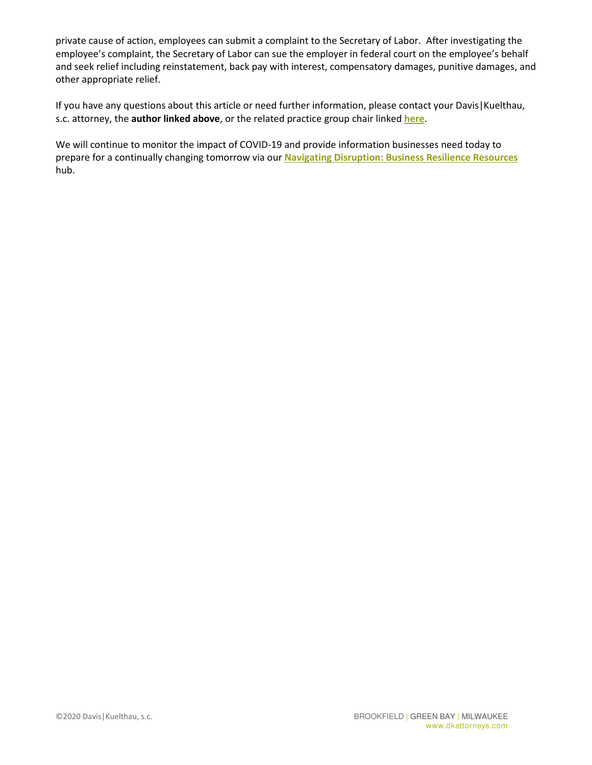private cause of action, employees can submit a complaint to the Secretary of Labor. After investigating the employee's complaint, the Secretary of Labor can sue the employer in federal court on the employee's behalf and seek relief including reinstatement, back pay with interest, compensatory damages, punitive damages, and other appropriate relief.

If you have any questions about this article or need further information, please contact your Davis|Kuelthau, s.c. attorney, the **author linked above**, or the related practice group chair linked **here**.

We will continue to monitor the impact of COVID-19 and provide information businesses need today to prepare for a continually changing tomorrow via our **Navigating Disruption: Business Resilience Resources** hub.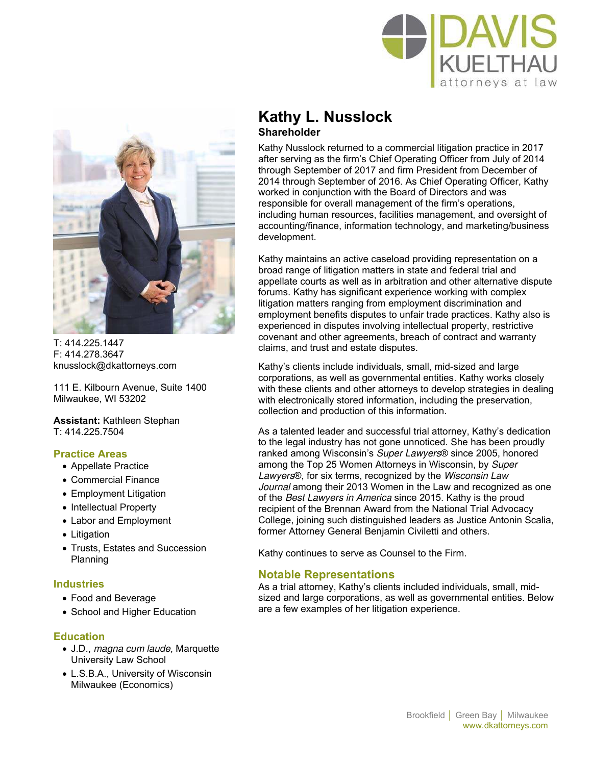



 $T: 414.225.1447$ F: 414.278.3647 knusslock@dkattorneys.com

111 E. Kilbourn Avenue, Suite 1400 Milwaukee, WI 53202

**Assistant:** Kathleen Stephan T: 414.225.7504

#### **Practice Areas**

- Appellate Practice
- Commercial Finance
- Employment Litigation
- Intellectual Property
- Labor and Employment
- Litigation
- Trusts, Estates and Succession Planning

#### **Industries**

- Food and Beverage
- School and Higher Education

#### **Education**

- J.D., magna cum laude, Marquette University Law School
- L.S.B.A., University of Wisconsin Milwaukee (Economics)

## **Kathy L. Nusslock Shareholder**

Kathy Nusslock returned to a commercial litigation practice in 2017 after serving as the firm's Chief Operating Officer from July of 2014 through September of 2017 and firm President from December of 2014 through September of 2016. As Chief Operating Officer, Kathy worked in conjunction with the Board of Directors and was responsible for overall management of the firm's operations, including human resources, facilities management, and oversight of accounting/finance, information technology, and marketing/business development.

Kathy maintains an active caseload providing representation on a broad range of litigation matters in state and federal trial and appellate courts as well as in arbitration and other alternative dispute forums. Kathy has significant experience working with complex litigation matters ranging from employment discrimination and employment benefits disputes to unfair trade practices. Kathy also is experienced in disputes involving intellectual property, restrictive covenant and other agreements, breach of contract and warranty claims, and trust and estate disputes.

Kathy's clients include individuals, small, mid-sized and large corporations, as well as governmental entities. Kathy works closely with these clients and other attorneys to develop strategies in dealing with electronically stored information, including the preservation, collection and production of this information.

As a talented leader and successful trial attorney, Kathy's dedication to the legal industry has not gone unnoticed. She has been proudly ranked among Wisconsin's Super Lawyers® since 2005, honored among the Top 25 Women Attorneys in Wisconsin, by Super Lawyers®, for six terms, recognized by the Wisconsin Law Journal among their 2013 Women in the Law and recognized as one of the Best Lawyers in America since 2015. Kathy is the proud recipient of the Brennan Award from the National Trial Advocacy College, joining such distinguished leaders as Justice Antonin Scalia, former Attorney General Benjamin Civiletti and others.

Kathy continues to serve as Counsel to the Firm.

#### **Notable Representations**

As a trial attorney, Kathy's clients included individuals, small, midsized and large corporations, as well as governmental entities. Below are a few examples of her litigation experience.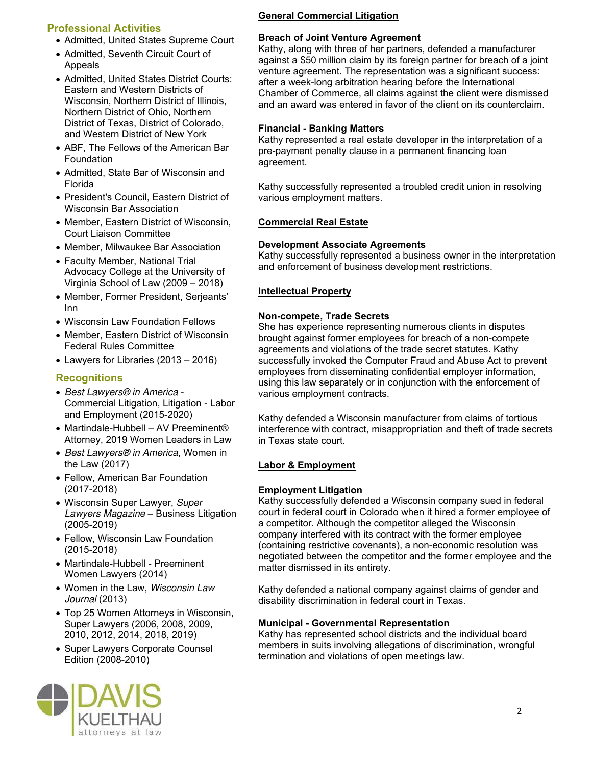#### **Professional Activities**

- Admitted, United States Supreme Court
- Admitted, Seventh Circuit Court of Appeals
- Admitted, United States District Courts: Eastern and Western Districts of Wisconsin, Northern District of Illinois, Northern District of Ohio, Northern District of Texas, District of Colorado, and Western District of New York
- ABF, The Fellows of the American Bar Foundation
- Admitted, State Bar of Wisconsin and Florida
- President's Council, Eastern District of Wisconsin Bar Association
- Member, Eastern District of Wisconsin, Court Liaison Committee
- Member, Milwaukee Bar Association
- Faculty Member, National Trial Advocacy College at the University of Virginia School of Law (2009 – 2018)
- Member, Former President, Serjeants' Inn
- Wisconsin Law Foundation Fellows
- Member, Eastern District of Wisconsin Federal Rules Committee
- Lawyers for Libraries (2013 2016)

#### **Recognitions**

- Best Lawyers® in America Commercial Litigation, Litigation - Labor and Employment (2015-2020)
- Martindale-Hubbell AV Preeminent<sup>®</sup> Attorney, 2019 Women Leaders in Law
- Best Lawyers<sup>®</sup> in America, Women in the Law (2017)
- Fellow, American Bar Foundation (2017-2018)
- Wisconsin Super Lawyer, Super Lawyers Magazine – Business Litigation (2005-2019)
- Fellow, Wisconsin Law Foundation (2015-2018)
- Martindale-Hubbell Preeminent Women Lawyers (2014)
- Women in the Law, Wisconsin Law Journal (2013)
- Top 25 Women Attorneys in Wisconsin, Super Lawyers (2006, 2008, 2009, 2010, 2012, 2014, 2018, 2019)
- Super Lawyers Corporate Counsel Edition (2008-2010)



#### **General Commercial Litigation**

#### **Breach of Joint Venture Agreement**

Kathy, along with three of her partners, defended a manufacturer against a \$50 million claim by its foreign partner for breach of a joint venture agreement. The representation was a significant success: after a week-long arbitration hearing before the International Chamber of Commerce, all claims against the client were dismissed and an award was entered in favor of the client on its counterclaim.

#### **Financial - Banking Matters**

Kathy represented a real estate developer in the interpretation of a pre-payment penalty clause in a permanent financing loan agreement.

Kathy successfully represented a troubled credit union in resolving various employment matters.

#### **Commercial Real Estate**

#### **Development Associate Agreements**

Kathy successfully represented a business owner in the interpretation and enforcement of business development restrictions.

#### **Intellectual Property**

#### **Non-compete, Trade Secrets**

She has experience representing numerous clients in disputes brought against former employees for breach of a non-compete agreements and violations of the trade secret statutes. Kathy successfully invoked the Computer Fraud and Abuse Act to prevent employees from disseminating confidential employer information, using this law separately or in conjunction with the enforcement of various employment contracts.

Kathy defended a Wisconsin manufacturer from claims of tortious interference with contract, misappropriation and theft of trade secrets in Texas state court.

#### **Labor & Employment**

#### **Employment Litigation**

Kathy successfully defended a Wisconsin company sued in federal court in federal court in Colorado when it hired a former employee of a competitor. Although the competitor alleged the Wisconsin company interfered with its contract with the former employee (containing restrictive covenants), a non-economic resolution was negotiated between the competitor and the former employee and the matter dismissed in its entirety.

Kathy defended a national company against claims of gender and disability discrimination in federal court in Texas.

#### **Municipal - Governmental Representation**

Kathy has represented school districts and the individual board members in suits involving allegations of discrimination, wrongful termination and violations of open meetings law.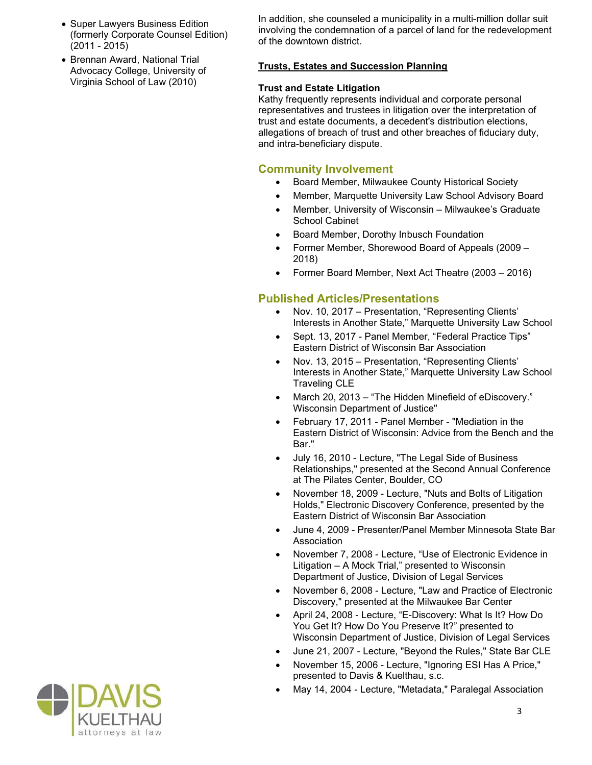- Super Lawyers Business Edition (formerly Corporate Counsel Edition) (2011 - 2015)
- Brennan Award, National Trial Advocacy College, University of Virginia School of Law (2010)

In addition, she counseled a municipality in a multi-million dollar suit involving the condemnation of a parcel of land for the redevelopment of the downtown district.

#### **Trusts, Estates and Succession Planning**

#### **Trust and Estate Litigation**

Kathy frequently represents individual and corporate personal representatives and trustees in litigation over the interpretation of trust and estate documents, a decedent's distribution elections, allegations of breach of trust and other breaches of fiduciary duty, and intra-beneficiary dispute.

#### **Community Involvement**

- Board Member, Milwaukee County Historical Society
- Member, Marquette University Law School Advisory Board
- Member, University of Wisconsin Milwaukee's Graduate School Cabinet
- Board Member, Dorothy Inbusch Foundation
- Former Member, Shorewood Board of Appeals (2009 2018)
- Former Board Member, Next Act Theatre (2003 2016)

### **Published Articles/Presentations**

- Nov. 10, 2017 Presentation, "Representing Clients' Interests in Another State," Marquette University Law School
- Sept. 13, 2017 Panel Member, "Federal Practice Tips" Eastern District of Wisconsin Bar Association
- Nov. 13, 2015 Presentation, "Representing Clients' Interests in Another State," Marquette University Law School Traveling CLE
- March 20, 2013 "The Hidden Minefield of eDiscovery." Wisconsin Department of Justice"
- February 17, 2011 Panel Member "Mediation in the Eastern District of Wisconsin: Advice from the Bench and the Bar."
- July 16, 2010 Lecture, "The Legal Side of Business Relationships," presented at the Second Annual Conference at The Pilates Center, Boulder, CO
- November 18, 2009 Lecture, "Nuts and Bolts of Litigation Holds," Electronic Discovery Conference, presented by the Eastern District of Wisconsin Bar Association
- June 4, 2009 Presenter/Panel Member Minnesota State Bar Association
- November 7, 2008 Lecture, "Use of Electronic Evidence in Litigation – A Mock Trial," presented to Wisconsin Department of Justice, Division of Legal Services
- November 6, 2008 Lecture, "Law and Practice of Electronic Discovery," presented at the Milwaukee Bar Center
- April 24, 2008 Lecture, "E-Discovery: What Is It? How Do You Get It? How Do You Preserve It?" presented to Wisconsin Department of Justice, Division of Legal Services
- June 21, 2007 Lecture, "Beyond the Rules," State Bar CLE
- November 15, 2006 Lecture, "Ignoring ESI Has A Price," presented to Davis & Kuelthau, s.c.
- May 14, 2004 Lecture, "Metadata," Paralegal Association

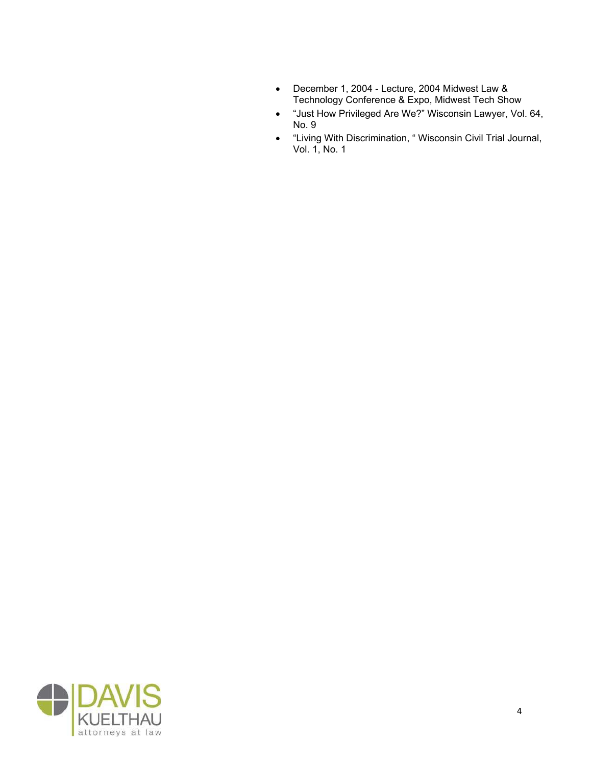- December 1, 2004 Lecture, 2004 Midwest Law & Technology Conference & Expo, Midwest Tech Show
- "Just How Privileged Are We?" Wisconsin Lawyer, Vol. 64, No. 9
- "Living With Discrimination, "Wisconsin Civil Trial Journal, Vol. 1, No. 1

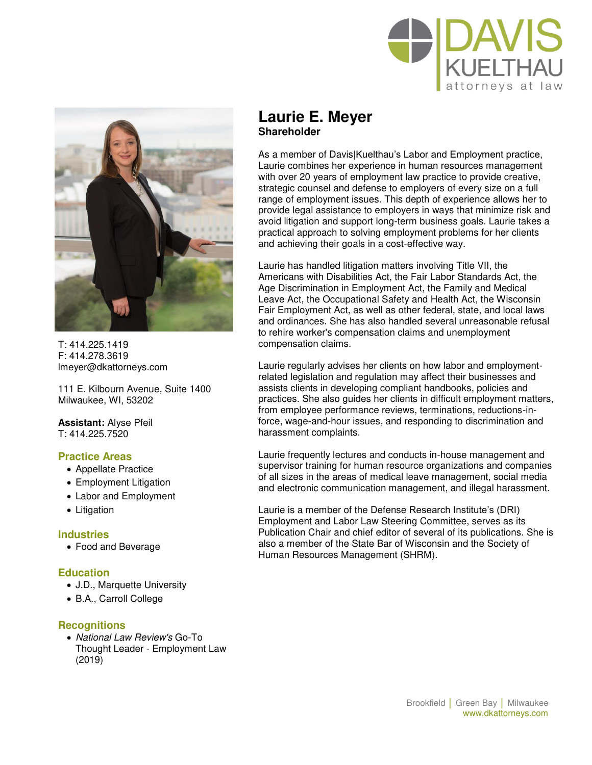



T: 414.225.1419 F: 414.278.3619 lmeyer@dkattorneys.com

111 E. Kilbourn Avenue, Suite 1400 Milwaukee, WI, 53202

**Assistant:** Alyse Pfeil  $T: 414.225.7520$ 

#### **Practice Areas**

- Appellate Practice
- Employment Litigation
- Labor and Employment
- Litigation

#### **Industries**

Food and Beverage

#### **Education**

- J.D., Marquette University
- B.A., Carroll College

#### **Recognitions**

• National Law Review's Go-To Thought Leader - Employment Law (2019)

## **Laurie E. Meyer Shareholder**

As a member of Davis|Kuelthau's Labor and Employment practice, Laurie combines her experience in human resources management with over 20 years of employment law practice to provide creative, strategic counsel and defense to employers of every size on a full range of employment issues. This depth of experience allows her to provide legal assistance to employers in ways that minimize risk and avoid litigation and support long-term business goals. Laurie takes a practical approach to solving employment problems for her clients and achieving their goals in a cost-effective way.

Laurie has handled litigation matters involving Title VII, the Americans with Disabilities Act, the Fair Labor Standards Act, the Age Discrimination in Employment Act, the Family and Medical Leave Act, the Occupational Safety and Health Act, the Wisconsin Fair Employment Act, as well as other federal, state, and local laws and ordinances. She has also handled several unreasonable refusal to rehire worker's compensation claims and unemployment compensation claims.

Laurie regularly advises her clients on how labor and employmentrelated legislation and regulation may affect their businesses and assists clients in developing compliant handbooks, policies and practices. She also guides her clients in difficult employment matters, from employee performance reviews, terminations, reductions-inforce, wage-and-hour issues, and responding to discrimination and harassment complaints.

Laurie frequently lectures and conducts in-house management and supervisor training for human resource organizations and companies of all sizes in the areas of medical leave management, social media and electronic communication management, and illegal harassment.

Laurie is a member of the Defense Research Institute's (DRI) Employment and Labor Law Steering Committee, serves as its Publication Chair and chief editor of several of its publications. She is also a member of the State Bar of Wisconsin and the Society of Human Resources Management (SHRM).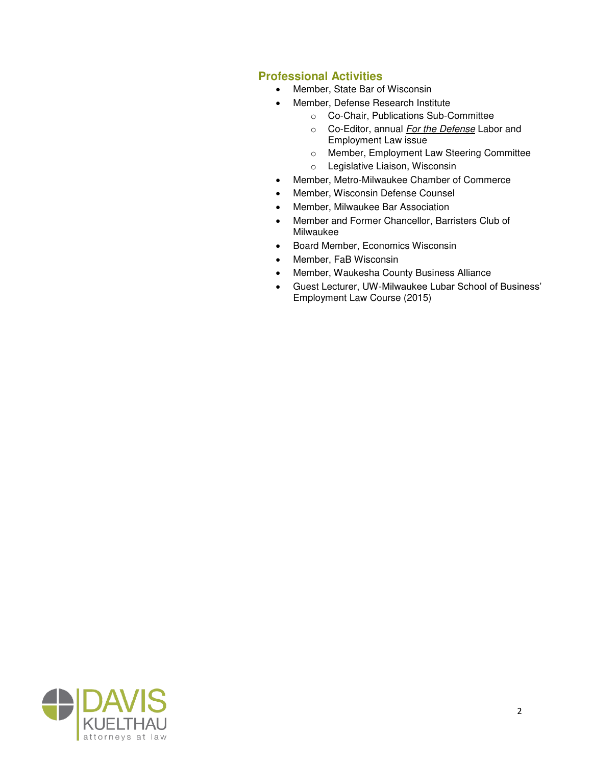### **Professional Activities**

- Member, State Bar of Wisconsin
- Member, Defense Research Institute
	- o Co-Chair, Publications Sub-Committee
	- o Co-Editor, annual For the Defense Labor and Employment Law issue
	- o Member, Employment Law Steering Committee
	- o Legislative Liaison, Wisconsin
- Member, Metro-Milwaukee Chamber of Commerce
- Member, Wisconsin Defense Counsel
- Member, Milwaukee Bar Association
- Member and Former Chancellor, Barristers Club of Milwaukee
- Board Member, Economics Wisconsin
- Member, FaB Wisconsin
- Member, Waukesha County Business Alliance
- Guest Lecturer, UW-Milwaukee Lubar School of Business' Employment Law Course (2015)

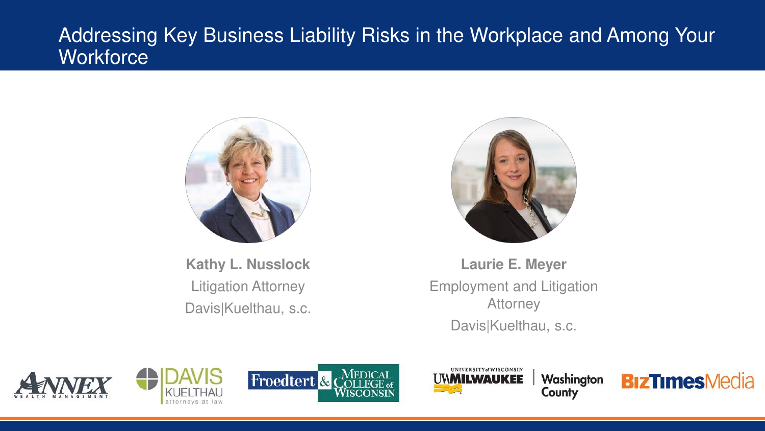# Addressing Key Business Liability Risks in the Workplace and Among Your **Workforce**



**Kathy L. Nusslock** Litigation Attorney Davis|Kuelthau, s.c.



**Laurie E. Meyer** Employment and Litigation **Attorney** Davis|Kuelthau, s.c.









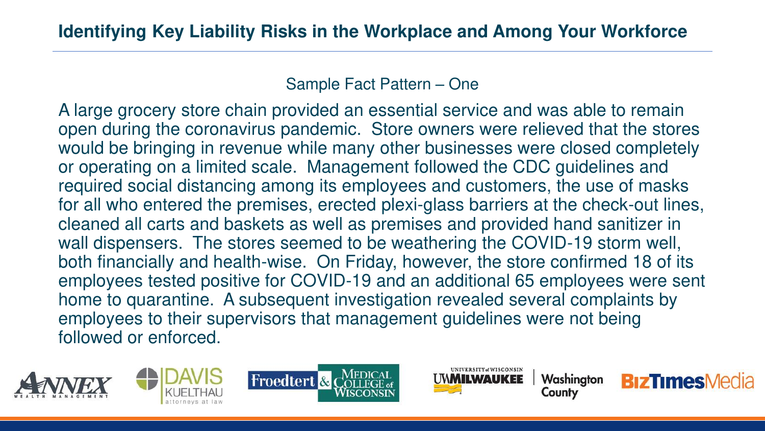Sample Fact Pattern – One

A large grocery store chain provided an essential service and was able to remain open during the coronavirus pandemic. Store owners were relieved that the stores would be bringing in revenue while many other businesses were closed completely or operating on a limited scale. Management followed the CDC guidelines and required social distancing among its employees and customers, the use of masks for all who entered the premises, erected plexi-glass barriers at the check-out lines, cleaned all carts and baskets as well as premises and provided hand sanitizer in wall dispensers. The stores seemed to be weathering the COVID-19 storm well, both financially and health-wise. On Friday, however, the store confirmed 18 of its employees tested positive for COVID-19 and an additional 65 employees were sent home to quarantine. A subsequent investigation revealed several complaints by employees to their supervisors that management guidelines were not being followed or enforced.









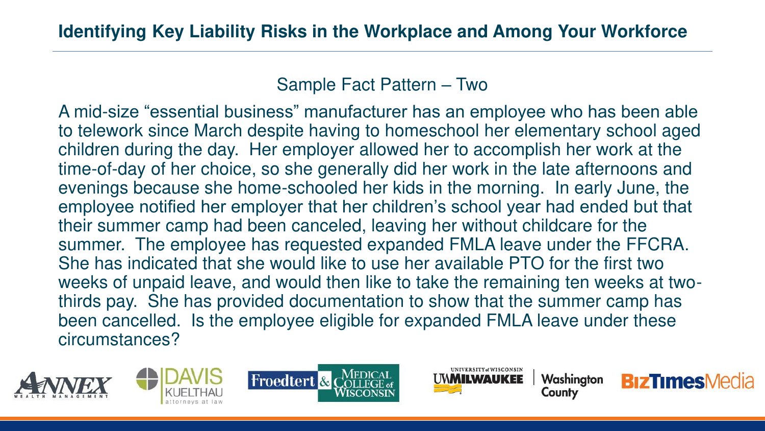## Sample Fact Pattern – Two

A mid-size "essential business" manufacturer has an employee who has been able to telework since March despite having to homeschool her elementary school aged children during the day. Her employer allowed her to accomplish her work at the time-of-day of her choice, so she generally did her work in the late afternoons and evenings because she home-schooled her kids in the morning. In early June, the employee notified her employer that her children's school year had ended but that their summer camp had been canceled, leaving her without childcare for the summer. The employee has requested expanded FMLA leave under the FFCRA. She has indicated that she would like to use her available PTO for the first two weeks of unpaid leave, and would then like to take the remaining ten weeks at twothirds pay. She has provided documentation to show that the summer camp has been cancelled. Is the employee eligible for expanded FMLA leave under these circumstances?